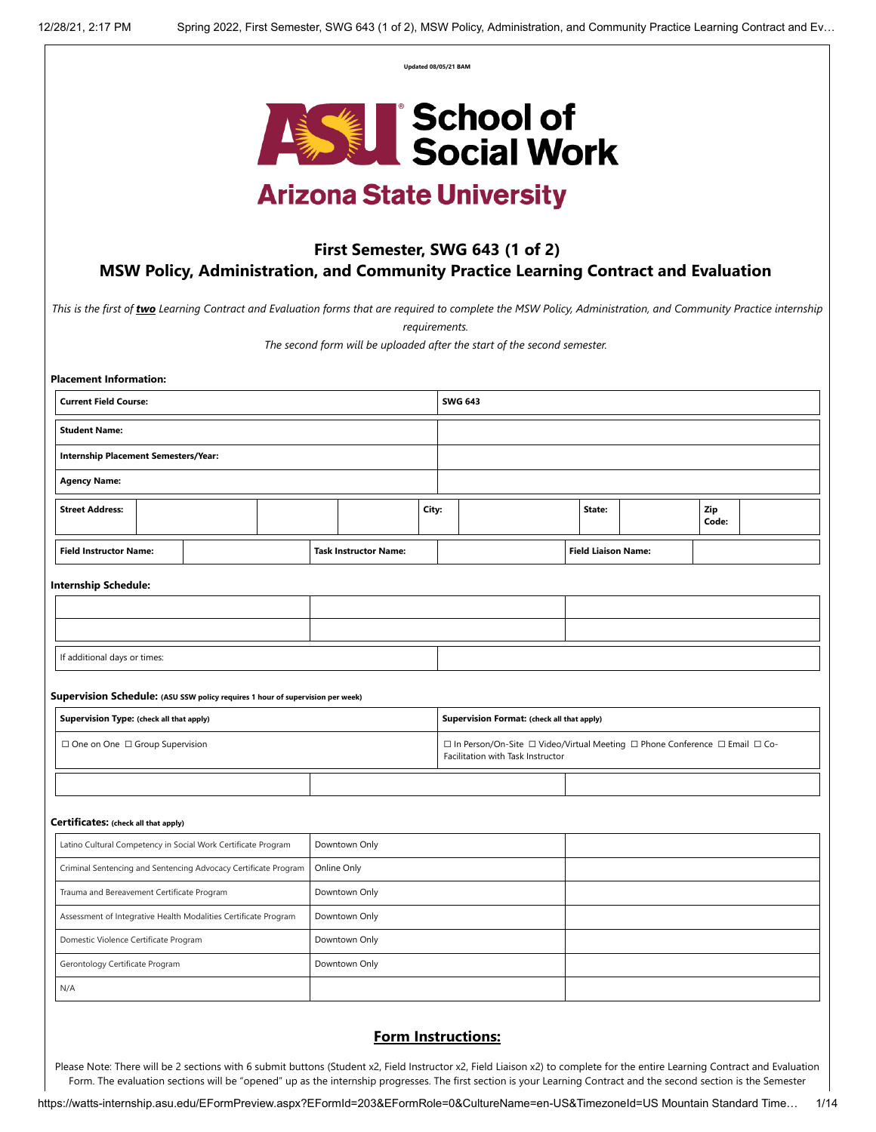| Updated 08/05/21 BAM |  |
|----------------------|--|
|                      |  |



# **Arizona State University**

# **First Semester, SWG 643 (1 of 2) MSW Policy, Administration, and Community Practice Learning Contract and Evaluation**

*This is the first of two Learning Contract and Evaluation forms that are required to complete the MSW Policy, Administration, and Community Practice internship*

*requirements.* 

*The second form will be uploaded after the start of the second semester.* 

| Placement Information: |
|------------------------|
|------------------------|

| <b>Current Field Course:</b>                                                     |                                                                                |  |  | <b>SWG 643</b>               |       |                                                                                                                   |                            |  |              |  |
|----------------------------------------------------------------------------------|--------------------------------------------------------------------------------|--|--|------------------------------|-------|-------------------------------------------------------------------------------------------------------------------|----------------------------|--|--------------|--|
| <b>Student Name:</b>                                                             |                                                                                |  |  |                              |       |                                                                                                                   |                            |  |              |  |
|                                                                                  | <b>Internship Placement Semesters/Year:</b>                                    |  |  |                              |       |                                                                                                                   |                            |  |              |  |
| <b>Agency Name:</b>                                                              |                                                                                |  |  |                              |       |                                                                                                                   |                            |  |              |  |
| <b>Street Address:</b>                                                           |                                                                                |  |  |                              | City: |                                                                                                                   | State:                     |  | Zip<br>Code: |  |
| <b>Field Instructor Name:</b>                                                    |                                                                                |  |  | <b>Task Instructor Name:</b> |       |                                                                                                                   | <b>Field Liaison Name:</b> |  |              |  |
| <b>Internship Schedule:</b>                                                      |                                                                                |  |  |                              |       |                                                                                                                   |                            |  |              |  |
|                                                                                  |                                                                                |  |  |                              |       |                                                                                                                   |                            |  |              |  |
|                                                                                  |                                                                                |  |  |                              |       |                                                                                                                   |                            |  |              |  |
| If additional days or times:                                                     |                                                                                |  |  |                              |       |                                                                                                                   |                            |  |              |  |
|                                                                                  | Supervision Schedule: (ASU SSW policy requires 1 hour of supervision per week) |  |  |                              |       |                                                                                                                   |                            |  |              |  |
| Supervision Type: (check all that apply)                                         |                                                                                |  |  |                              |       | Supervision Format: (check all that apply)                                                                        |                            |  |              |  |
| □ One on One □ Group Supervision                                                 |                                                                                |  |  |                              |       | □ In Person/On-Site □ Video/Virtual Meeting □ Phone Conference □ Email □ Co-<br>Facilitation with Task Instructor |                            |  |              |  |
|                                                                                  |                                                                                |  |  |                              |       |                                                                                                                   |                            |  |              |  |
| Certificates: (check all that apply)                                             |                                                                                |  |  |                              |       |                                                                                                                   |                            |  |              |  |
|                                                                                  | Latino Cultural Competency in Social Work Certificate Program                  |  |  | Downtown Only                |       |                                                                                                                   |                            |  |              |  |
|                                                                                  | Criminal Sentencing and Sentencing Advocacy Certificate Program                |  |  | Online Only                  |       |                                                                                                                   |                            |  |              |  |
| Downtown Only<br>Trauma and Bereavement Certificate Program                      |                                                                                |  |  |                              |       |                                                                                                                   |                            |  |              |  |
| Assessment of Integrative Health Modalities Certificate Program<br>Downtown Only |                                                                                |  |  |                              |       |                                                                                                                   |                            |  |              |  |
| Downtown Only<br>Domestic Violence Certificate Program                           |                                                                                |  |  |                              |       |                                                                                                                   |                            |  |              |  |
| Gerontology Certificate Program                                                  |                                                                                |  |  | Downtown Only                |       |                                                                                                                   |                            |  |              |  |
| N/A                                                                              |                                                                                |  |  |                              |       |                                                                                                                   |                            |  |              |  |

# **Form Instructions:**

Please Note: There will be 2 sections with 6 submit buttons (Student x2, Field Instructor x2, Field Liaison x2) to complete for the entire Learning Contract and Evaluation Form. The evaluation sections will be "opened" up as the internship progresses. The first section is your Learning Contract and the second section is the Semester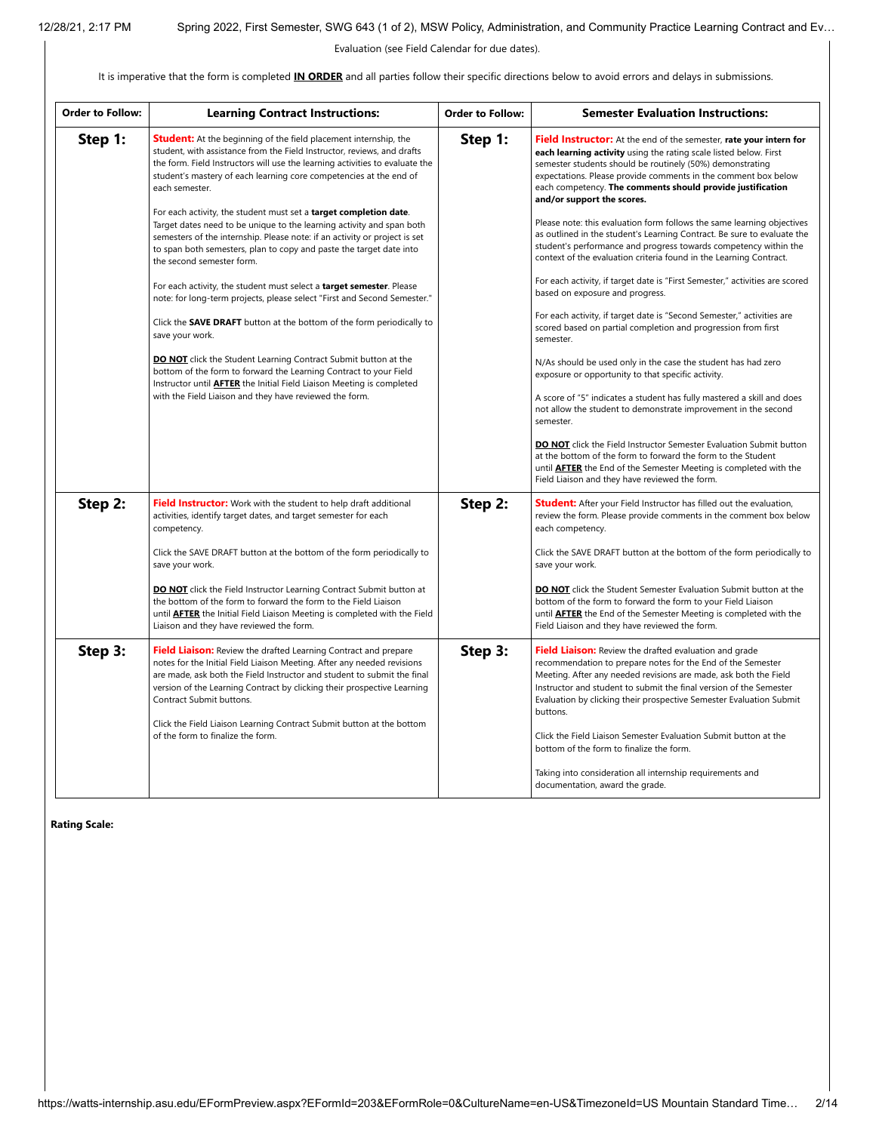Evaluation (see Field Calendar for due dates).

It is imperative that the form is completed **IN ORDER** and all parties follow their specific directions below to avoid errors and delays in submissions.

| <b>Order to Follow:</b> | <b>Learning Contract Instructions:</b>                                                                                                                                                                                                                                                                                                                                                                                                                                                                                                                                                                                                                                                                                                                                                                                                                                                                                                                                                                                                                                                                                                                                                                              | <b>Order to Follow:</b> | <b>Semester Evaluation Instructions:</b>                                                                                                                                                                                                                                                                                                                                                                                                                                                                                                                                                                                                                                                                                                                                                                                                                                                                                                                                                                                                                                                                                                                                                                                                                                                                          |
|-------------------------|---------------------------------------------------------------------------------------------------------------------------------------------------------------------------------------------------------------------------------------------------------------------------------------------------------------------------------------------------------------------------------------------------------------------------------------------------------------------------------------------------------------------------------------------------------------------------------------------------------------------------------------------------------------------------------------------------------------------------------------------------------------------------------------------------------------------------------------------------------------------------------------------------------------------------------------------------------------------------------------------------------------------------------------------------------------------------------------------------------------------------------------------------------------------------------------------------------------------|-------------------------|-------------------------------------------------------------------------------------------------------------------------------------------------------------------------------------------------------------------------------------------------------------------------------------------------------------------------------------------------------------------------------------------------------------------------------------------------------------------------------------------------------------------------------------------------------------------------------------------------------------------------------------------------------------------------------------------------------------------------------------------------------------------------------------------------------------------------------------------------------------------------------------------------------------------------------------------------------------------------------------------------------------------------------------------------------------------------------------------------------------------------------------------------------------------------------------------------------------------------------------------------------------------------------------------------------------------|
| Step 1:                 | <b>Student:</b> At the beginning of the field placement internship, the<br>student, with assistance from the Field Instructor, reviews, and drafts<br>the form. Field Instructors will use the learning activities to evaluate the<br>student's mastery of each learning core competencies at the end of<br>each semester.<br>For each activity, the student must set a <b>target completion date</b> .<br>Target dates need to be unique to the learning activity and span both<br>semesters of the internship. Please note: if an activity or project is set<br>to span both semesters, plan to copy and paste the target date into<br>the second semester form.<br>For each activity, the student must select a target semester. Please<br>note: for long-term projects, please select "First and Second Semester."<br>Click the <b>SAVE DRAFT</b> button at the bottom of the form periodically to<br>save your work.<br><b>DO NOT</b> click the Student Learning Contract Submit button at the<br>bottom of the form to forward the Learning Contract to your Field<br>Instructor until <b>AFTER</b> the Initial Field Liaison Meeting is completed<br>with the Field Liaison and they have reviewed the form. | Step 1:                 | <b>Field Instructor:</b> At the end of the semester, rate your intern for<br>each learning activity using the rating scale listed below. First<br>semester students should be routinely (50%) demonstrating<br>expectations. Please provide comments in the comment box below<br>each competency. The comments should provide justification<br>and/or support the scores.<br>Please note: this evaluation form follows the same learning objectives<br>as outlined in the student's Learning Contract. Be sure to evaluate the<br>student's performance and progress towards competency within the<br>context of the evaluation criteria found in the Learning Contract.<br>For each activity, if target date is "First Semester," activities are scored<br>based on exposure and progress.<br>For each activity, if target date is "Second Semester," activities are<br>scored based on partial completion and progression from first<br>semester.<br>N/As should be used only in the case the student has had zero<br>exposure or opportunity to that specific activity.<br>A score of "5" indicates a student has fully mastered a skill and does<br>not allow the student to demonstrate improvement in the second<br>semester.<br><b>DO NOT</b> click the Field Instructor Semester Evaluation Submit button |
|                         |                                                                                                                                                                                                                                                                                                                                                                                                                                                                                                                                                                                                                                                                                                                                                                                                                                                                                                                                                                                                                                                                                                                                                                                                                     |                         | at the bottom of the form to forward the form to the Student<br>until <b>AFTER</b> the End of the Semester Meeting is completed with the<br>Field Liaison and they have reviewed the form.                                                                                                                                                                                                                                                                                                                                                                                                                                                                                                                                                                                                                                                                                                                                                                                                                                                                                                                                                                                                                                                                                                                        |
| Step 2:                 | Field Instructor: Work with the student to help draft additional<br>activities, identify target dates, and target semester for each<br>competency.                                                                                                                                                                                                                                                                                                                                                                                                                                                                                                                                                                                                                                                                                                                                                                                                                                                                                                                                                                                                                                                                  | Step 2:                 | <b>Student:</b> After your Field Instructor has filled out the evaluation,<br>review the form. Please provide comments in the comment box below<br>each competency.                                                                                                                                                                                                                                                                                                                                                                                                                                                                                                                                                                                                                                                                                                                                                                                                                                                                                                                                                                                                                                                                                                                                               |
|                         | Click the SAVE DRAFT button at the bottom of the form periodically to<br>save your work.                                                                                                                                                                                                                                                                                                                                                                                                                                                                                                                                                                                                                                                                                                                                                                                                                                                                                                                                                                                                                                                                                                                            |                         | Click the SAVE DRAFT button at the bottom of the form periodically to<br>save your work.                                                                                                                                                                                                                                                                                                                                                                                                                                                                                                                                                                                                                                                                                                                                                                                                                                                                                                                                                                                                                                                                                                                                                                                                                          |
|                         | <b>DO NOT</b> click the Field Instructor Learning Contract Submit button at<br>the bottom of the form to forward the form to the Field Liaison<br>until <b>AFTER</b> the Initial Field Liaison Meeting is completed with the Field<br>Liaison and they have reviewed the form.                                                                                                                                                                                                                                                                                                                                                                                                                                                                                                                                                                                                                                                                                                                                                                                                                                                                                                                                      |                         | <b>DO NOT</b> click the Student Semester Evaluation Submit button at the<br>bottom of the form to forward the form to your Field Liaison<br>until <b>AFTER</b> the End of the Semester Meeting is completed with the<br>Field Liaison and they have reviewed the form.                                                                                                                                                                                                                                                                                                                                                                                                                                                                                                                                                                                                                                                                                                                                                                                                                                                                                                                                                                                                                                            |
| Step 3:                 | <b>Field Liaison:</b> Review the drafted Learning Contract and prepare<br>notes for the Initial Field Liaison Meeting. After any needed revisions<br>are made, ask both the Field Instructor and student to submit the final<br>version of the Learning Contract by clicking their prospective Learning<br>Contract Submit buttons.<br>Click the Field Liaison Learning Contract Submit button at the bottom<br>of the form to finalize the form.                                                                                                                                                                                                                                                                                                                                                                                                                                                                                                                                                                                                                                                                                                                                                                   | Step 3:                 | <b>Field Liaison:</b> Review the drafted evaluation and grade<br>recommendation to prepare notes for the End of the Semester<br>Meeting. After any needed revisions are made, ask both the Field<br>Instructor and student to submit the final version of the Semester<br>Evaluation by clicking their prospective Semester Evaluation Submit<br>buttons.<br>Click the Field Liaison Semester Evaluation Submit button at the                                                                                                                                                                                                                                                                                                                                                                                                                                                                                                                                                                                                                                                                                                                                                                                                                                                                                     |
|                         |                                                                                                                                                                                                                                                                                                                                                                                                                                                                                                                                                                                                                                                                                                                                                                                                                                                                                                                                                                                                                                                                                                                                                                                                                     |                         | bottom of the form to finalize the form.<br>Taking into consideration all internship requirements and<br>documentation, award the grade.                                                                                                                                                                                                                                                                                                                                                                                                                                                                                                                                                                                                                                                                                                                                                                                                                                                                                                                                                                                                                                                                                                                                                                          |

**Rating Scale:**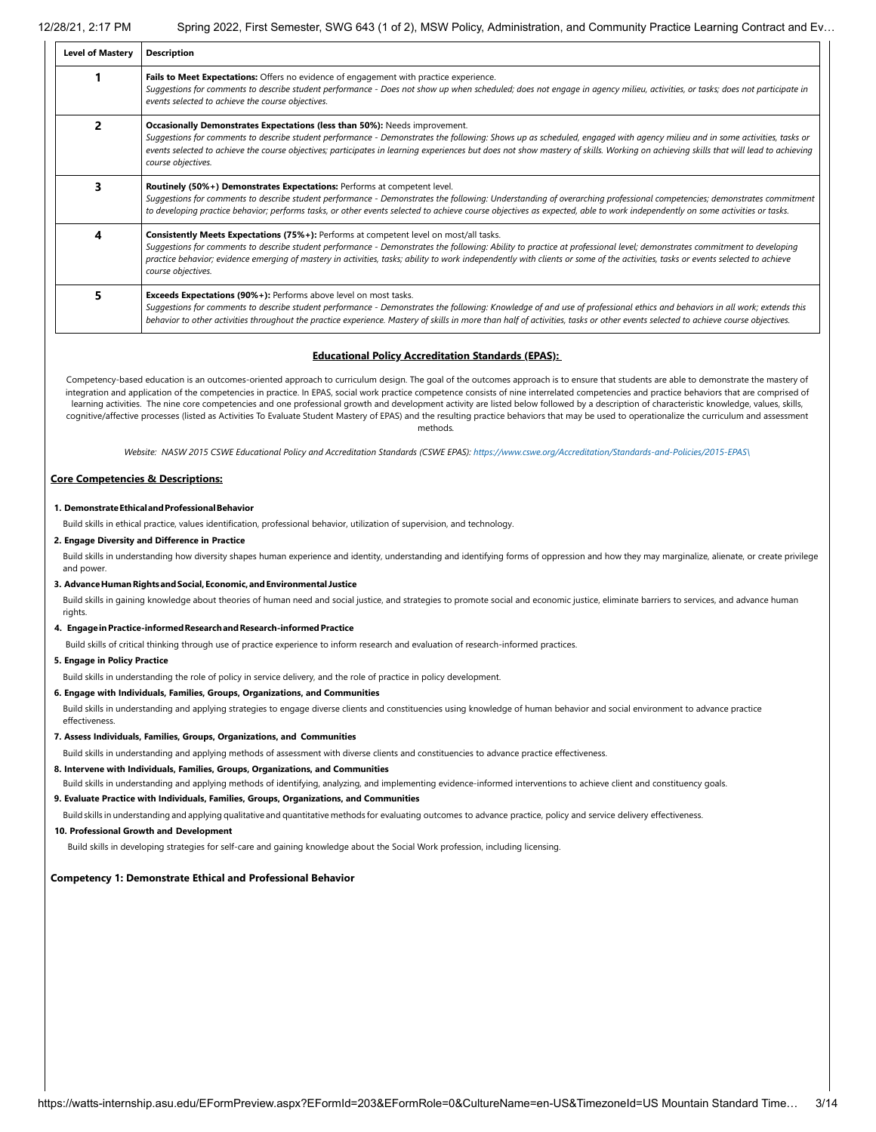| <b>Level of Mastery</b> | <b>Description</b>                                                                                                                                                                                                                                                                                                                                                                                                                                                         |  |  |  |  |
|-------------------------|----------------------------------------------------------------------------------------------------------------------------------------------------------------------------------------------------------------------------------------------------------------------------------------------------------------------------------------------------------------------------------------------------------------------------------------------------------------------------|--|--|--|--|
|                         | Fails to Meet Expectations: Offers no evidence of engagement with practice experience.<br>Suggestions for comments to describe student performance - Does not show up when scheduled; does not engage in agency milieu, activities, or tasks; does not participate in<br>events selected to achieve the course objectives.                                                                                                                                                 |  |  |  |  |
|                         | Occasionally Demonstrates Expectations (less than 50%): Needs improvement.<br>Suggestions for comments to describe student performance - Demonstrates the following: Shows up as scheduled, engaged with agency milieu and in some activities, tasks or<br>events selected to achieve the course objectives; participates in learning experiences but does not show mastery of skills. Working on achieving skills that will lead to achieving<br>course objectives.       |  |  |  |  |
| 3                       | Routinely (50%+) Demonstrates Expectations: Performs at competent level.<br>Suggestions for comments to describe student performance - Demonstrates the following: Understanding of overarching professional competencies; demonstrates commitment<br>to developing practice behavior; performs tasks, or other events selected to achieve course objectives as expected, able to work independently on some activities or tasks.                                          |  |  |  |  |
| 4                       | Consistently Meets Expectations (75%+): Performs at competent level on most/all tasks.<br>Suggestions for comments to describe student performance - Demonstrates the following: Ability to practice at professional level; demonstrates commitment to developing<br>practice behavior; evidence emerging of mastery in activities, tasks; ability to work independently with clients or some of the activities, tasks or events selected to achieve<br>course objectives. |  |  |  |  |
| 5                       | <b>Exceeds Expectations (90%+):</b> Performs above level on most tasks.<br>Suggestions for comments to describe student performance - Demonstrates the following: Knowledge of and use of professional ethics and behaviors in all work; extends this<br>behavior to other activities throughout the practice experience. Mastery of skills in more than half of activities, tasks or other events selected to achieve course objectives.                                  |  |  |  |  |

#### **Educational Policy Accreditation Standards (EPAS):**

Competency-based education is an outcomes-oriented approach to curriculum design. The goal of the outcomes approach is to ensure that students are able to demonstrate the mastery of integration and application of the competencies in practice. In EPAS, social work practice competence consists of nine interrelated competencies and practice behaviors that are comprised of learning activities. The nine core competencies and one professional growth and development activity are listed below followed by a description of characteristic knowledge, values, skills, cognitive/affective processes (listed as Activities To Evaluate Student Mastery of EPAS) and the resulting practice behaviors that may be used to operationalize the curriculum and assessment methods*.*

Website: NASW 2015 CSWE Educational Policy and Accreditation Standards (CSWE EPAS): [https://www.cswe.org/Accreditation/Standards-and-Policies/2015-EPAS\](https://www.cswe.org/Accreditation/Standards-and-Policies/2015-EPAS/)

#### **Core Competencies & Descriptions:**

#### **1. DemonstrateEthicalandProfessionalBehavior**

Build skills in ethical practice, values identification, professional behavior, utilization of supervision, and technology.

#### **2. Engage Diversity and Difference in Practice**

Build skills in understanding how diversity shapes human experience and identity, understanding and identifying forms of oppression and how they may marginalize, alienate, or create privilege and power.

#### **3. AdvanceHumanRightsandSocial,Economic,andEnvironmental Justice**

Build skills in gaining knowledge about theories of human need and social justice, and strategies to promote social and economic justice, eliminate barriers to services, and advance human rights.

#### **4. EngageinPractice-informedResearchandResearch-informedPractice**

Build skills of critical thinking through use of practice experience to inform research and evaluation of research-informed practices.

#### **5. Engage in Policy Practice**

Build skills in understanding the role of policy in service delivery, and the role of practice in policy development.

#### **6. Engage with Individuals, Families, Groups, Organizations, and Communities**

Build skills in understanding and applying strategies to engage diverse clients and constituencies using knowledge of human behavior and social environment to advance practice effectiveness.

#### **7. Assess Individuals, Families, Groups, Organizations, and Communities**

Build skills in understanding and applying methods of assessment with diverse clients and constituencies to advance practice effectiveness.

**8. Intervene with Individuals, Families, Groups, Organizations, and Communities**

Build skills in understanding and applying methods of identifying, analyzing, and implementing evidence-informed interventions to achieve client and constituency goals.

#### **9. Evaluate Practice with Individuals, Families, Groups, Organizations, and Communities**

Build skills in understanding and applying qualitative and quantitative methods for evaluating outcomes to advance practice, policy and service delivery effectiveness.

#### **10. Professional Growth and Development**

Build skills in developing strategies for self-care and gaining knowledge about the Social Work profession, including licensing.

#### **Competency 1: Demonstrate Ethical and Professional Behavior**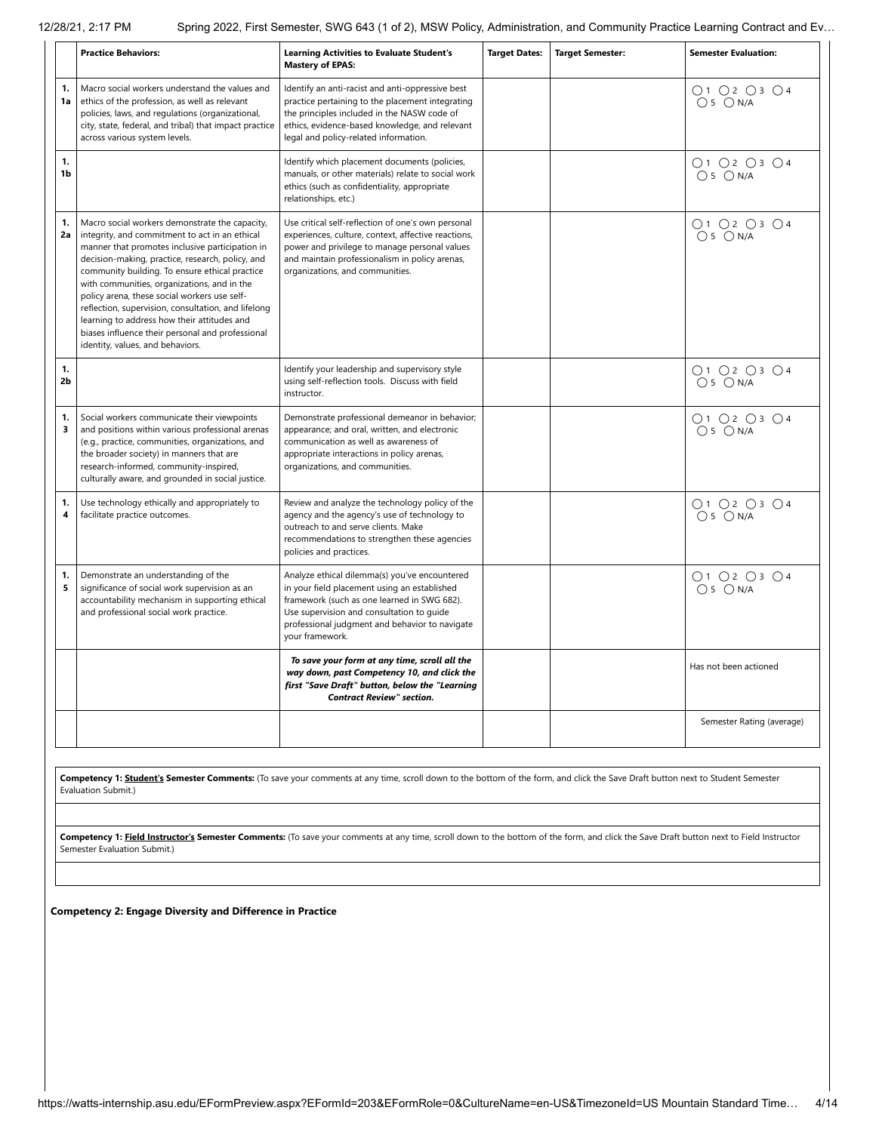|                               | <b>Practice Behaviors:</b>                                                                                                                                                                                                                                                                                                                                                                                                                                                                                                                             | <b>Learning Activities to Evaluate Student's</b><br><b>Mastery of EPAS:</b>                                                                                                                                                                                    | <b>Target Dates:</b> | <b>Target Semester:</b> | <b>Semester Evaluation:</b>                                    |
|-------------------------------|--------------------------------------------------------------------------------------------------------------------------------------------------------------------------------------------------------------------------------------------------------------------------------------------------------------------------------------------------------------------------------------------------------------------------------------------------------------------------------------------------------------------------------------------------------|----------------------------------------------------------------------------------------------------------------------------------------------------------------------------------------------------------------------------------------------------------------|----------------------|-------------------------|----------------------------------------------------------------|
| 1.<br>1a                      | Macro social workers understand the values and<br>ethics of the profession, as well as relevant<br>policies, laws, and regulations (organizational,<br>city, state, federal, and tribal) that impact practice<br>across various system levels.                                                                                                                                                                                                                                                                                                         | Identify an anti-racist and anti-oppressive best<br>practice pertaining to the placement integrating<br>the principles included in the NASW code of<br>ethics, evidence-based knowledge, and relevant<br>legal and policy-related information.                 |                      |                         | ○1 ○2 ○3 ○4<br>$O5$ $ON/A$                                     |
| 1.<br>1b                      |                                                                                                                                                                                                                                                                                                                                                                                                                                                                                                                                                        | Identify which placement documents (policies,<br>manuals, or other materials) relate to social work<br>ethics (such as confidentiality, appropriate<br>relationships, etc.)                                                                                    |                      |                         | 01020304<br>$O5$ $ON/A$                                        |
| 1.<br>2a                      | Macro social workers demonstrate the capacity,<br>integrity, and commitment to act in an ethical<br>manner that promotes inclusive participation in<br>decision-making, practice, research, policy, and<br>community building. To ensure ethical practice<br>with communities, organizations, and in the<br>policy arena, these social workers use self-<br>reflection, supervision, consultation, and lifelong<br>learning to address how their attitudes and<br>biases influence their personal and professional<br>identity, values, and behaviors. | Use critical self-reflection of one's own personal<br>experiences, culture, context, affective reactions,<br>power and privilege to manage personal values<br>and maintain professionalism in policy arenas,<br>organizations, and communities.                |                      |                         | O1O2O3O4<br>$O5$ $ON/A$                                        |
| 1.<br>2 <sub>b</sub>          |                                                                                                                                                                                                                                                                                                                                                                                                                                                                                                                                                        | Identify your leadership and supervisory style<br>using self-reflection tools. Discuss with field<br>instructor.                                                                                                                                               |                      |                         | O1 O2 O3 O4<br>$O5$ $ON/A$                                     |
| 1.<br>3                       | Social workers communicate their viewpoints<br>and positions within various professional arenas<br>(e.g., practice, communities, organizations, and<br>the broader society) in manners that are<br>research-informed, community-inspired,<br>culturally aware, and grounded in social justice.                                                                                                                                                                                                                                                         | Demonstrate professional demeanor in behavior;<br>appearance; and oral, written, and electronic<br>communication as well as awareness of<br>appropriate interactions in policy arenas,<br>organizations, and communities.                                      |                      |                         | $\bigcap$ 1 $\bigcap$ 2 $\bigcap$ 3 $\bigcap$ 4<br>$O5$ $ON/A$ |
| 1.<br>$\overline{\mathbf{4}}$ | Use technology ethically and appropriately to<br>facilitate practice outcomes.                                                                                                                                                                                                                                                                                                                                                                                                                                                                         | Review and analyze the technology policy of the<br>agency and the agency's use of technology to<br>outreach to and serve clients. Make<br>recommendations to strengthen these agencies<br>policies and practices.                                              |                      |                         | 01020304<br>$O5$ $ON/A$                                        |
| 1.<br>5                       | Demonstrate an understanding of the<br>significance of social work supervision as an<br>accountability mechanism in supporting ethical<br>and professional social work practice.                                                                                                                                                                                                                                                                                                                                                                       | Analyze ethical dilemma(s) you've encountered<br>in your field placement using an established<br>framework (such as one learned in SWG 682).<br>Use supervision and consultation to guide<br>professional judgment and behavior to navigate<br>your framework. |                      |                         | ○1 ○2 ○3 ○4<br>$O5$ $ON/A$                                     |
|                               |                                                                                                                                                                                                                                                                                                                                                                                                                                                                                                                                                        | To save your form at any time, scroll all the<br>way down, past Competency 10, and click the<br>first "Save Draft" button, below the "Learning<br><b>Contract Review" section.</b>                                                                             |                      |                         | Has not been actioned                                          |
|                               |                                                                                                                                                                                                                                                                                                                                                                                                                                                                                                                                                        |                                                                                                                                                                                                                                                                |                      |                         | Semester Rating (average)                                      |

**Competency 1: Student's Semester Comments:** (To save your comments at any time, scroll down to the bottom of the form, and click the Save Draft button next to Student Semester Evaluation Submit.)

Competency 1: Field Instructor's Semester Comments: (To save your comments at any time, scroll down to the bottom of the form, and click the Save Draft button next to Field Instructor Semester Evaluation Submit.)

**Competency 2: Engage Diversity and Difference in Practice**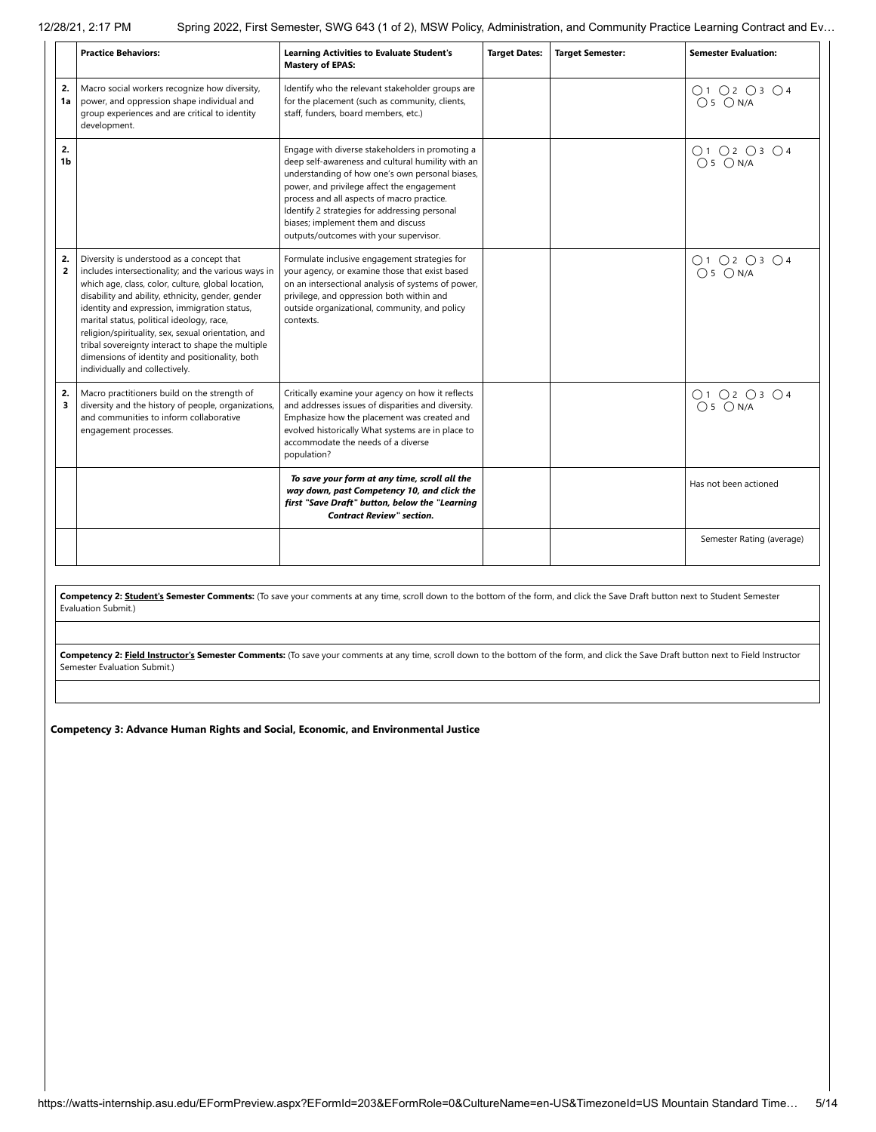|                      | <b>Practice Behaviors:</b>                                                                                                                                                                                                                                                                                                                                                                                                                                                                               | <b>Learning Activities to Evaluate Student's</b><br><b>Mastery of EPAS:</b>                                                                                                                                                                                                                                                                                                          | <b>Target Dates:</b> | <b>Target Semester:</b> | <b>Semester Evaluation:</b> |
|----------------------|----------------------------------------------------------------------------------------------------------------------------------------------------------------------------------------------------------------------------------------------------------------------------------------------------------------------------------------------------------------------------------------------------------------------------------------------------------------------------------------------------------|--------------------------------------------------------------------------------------------------------------------------------------------------------------------------------------------------------------------------------------------------------------------------------------------------------------------------------------------------------------------------------------|----------------------|-------------------------|-----------------------------|
| 2.<br>1a             | Macro social workers recognize how diversity,<br>power, and oppression shape individual and<br>group experiences and are critical to identity<br>development.                                                                                                                                                                                                                                                                                                                                            | Identify who the relevant stakeholder groups are<br>for the placement (such as community, clients,<br>staff, funders, board members, etc.)                                                                                                                                                                                                                                           |                      |                         | O1O2O3O4<br>$O5$ $ON/A$     |
| 2.<br>1 <sub>b</sub> |                                                                                                                                                                                                                                                                                                                                                                                                                                                                                                          | Engage with diverse stakeholders in promoting a<br>deep self-awareness and cultural humility with an<br>understanding of how one's own personal biases,<br>power, and privilege affect the engagement<br>process and all aspects of macro practice.<br>Identify 2 strategies for addressing personal<br>biases; implement them and discuss<br>outputs/outcomes with your supervisor. |                      |                         | O1 O2 O3 O4<br>$O5$ $ON/A$  |
| 2.<br>$\overline{2}$ | Diversity is understood as a concept that<br>includes intersectionality; and the various ways in<br>which age, class, color, culture, global location,<br>disability and ability, ethnicity, gender, gender<br>identity and expression, immigration status,<br>marital status, political ideology, race,<br>religion/spirituality, sex, sexual orientation, and<br>tribal sovereignty interact to shape the multiple<br>dimensions of identity and positionality, both<br>individually and collectively. | Formulate inclusive engagement strategies for<br>your agency, or examine those that exist based<br>on an intersectional analysis of systems of power,<br>privilege, and oppression both within and<br>outside organizational, community, and policy<br>contexts.                                                                                                                     |                      |                         | O1 O2 O3 O4<br>$O 5$ $ON/A$ |
| 2.<br>3              | Macro practitioners build on the strength of<br>diversity and the history of people, organizations,<br>and communities to inform collaborative<br>engagement processes.                                                                                                                                                                                                                                                                                                                                  | Critically examine your agency on how it reflects<br>and addresses issues of disparities and diversity.<br>Emphasize how the placement was created and<br>evolved historically What systems are in place to<br>accommodate the needs of a diverse<br>population?                                                                                                                     |                      |                         | O1 O2 O3 O4<br>$O5$ $ON/A$  |
|                      |                                                                                                                                                                                                                                                                                                                                                                                                                                                                                                          | To save your form at any time, scroll all the<br>way down, past Competency 10, and click the<br>first "Save Draft" button, below the "Learning<br><b>Contract Review" section.</b>                                                                                                                                                                                                   |                      |                         | Has not been actioned       |
|                      |                                                                                                                                                                                                                                                                                                                                                                                                                                                                                                          |                                                                                                                                                                                                                                                                                                                                                                                      |                      |                         | Semester Rating (average)   |

Competency 2: Student's Semester Comments: (To save your comments at any time, scroll down to the bottom of the form, and click the Save Draft button next to Student Semester Evaluation Submit.)

Competency 2: Field Instructor's Semester Comments: (To save your comments at any time, scroll down to the bottom of the form, and click the Save Draft button next to Field Instructor Semester Evaluation Submit.)

**Competency 3: Advance Human Rights and Social, Economic, and Environmental Justice**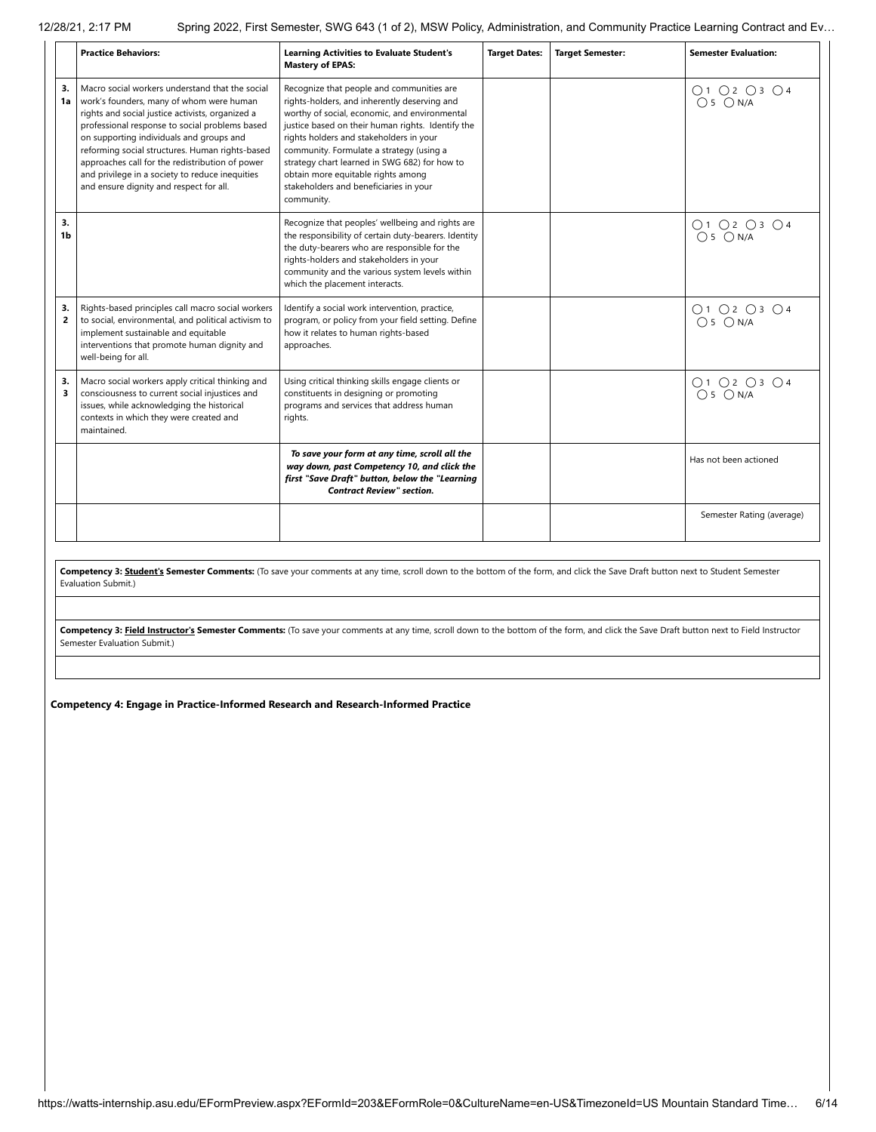|                      | <b>Practice Behaviors:</b>                                                                                                                                                                                                                                                                                                                                                                                                                        | <b>Learning Activities to Evaluate Student's</b><br><b>Mastery of EPAS:</b>                                                                                                                                                                                                                                                                                                                                                           | <b>Target Dates:</b> | <b>Target Semester:</b> | <b>Semester Evaluation:</b> |
|----------------------|---------------------------------------------------------------------------------------------------------------------------------------------------------------------------------------------------------------------------------------------------------------------------------------------------------------------------------------------------------------------------------------------------------------------------------------------------|---------------------------------------------------------------------------------------------------------------------------------------------------------------------------------------------------------------------------------------------------------------------------------------------------------------------------------------------------------------------------------------------------------------------------------------|----------------------|-------------------------|-----------------------------|
| 3.<br>1a             | Macro social workers understand that the social<br>work's founders, many of whom were human<br>rights and social justice activists, organized a<br>professional response to social problems based<br>on supporting individuals and groups and<br>reforming social structures. Human rights-based<br>approaches call for the redistribution of power<br>and privilege in a society to reduce inequities<br>and ensure dignity and respect for all. | Recognize that people and communities are<br>rights-holders, and inherently deserving and<br>worthy of social, economic, and environmental<br>justice based on their human rights. Identify the<br>rights holders and stakeholders in your<br>community. Formulate a strategy (using a<br>strategy chart learned in SWG 682) for how to<br>obtain more equitable rights among<br>stakeholders and beneficiaries in your<br>community. |                      |                         | O1 O2 O3 O4<br>$O5$ $ON/A$  |
| 3.<br>1b             |                                                                                                                                                                                                                                                                                                                                                                                                                                                   | Recognize that peoples' wellbeing and rights are<br>the responsibility of certain duty-bearers. Identity<br>the duty-bearers who are responsible for the<br>rights-holders and stakeholders in your<br>community and the various system levels within<br>which the placement interacts.                                                                                                                                               |                      |                         | O1 O2 O3 O4<br>$O5$ $ON/A$  |
| 3.<br>$\overline{2}$ | Rights-based principles call macro social workers<br>to social, environmental, and political activism to<br>implement sustainable and equitable<br>interventions that promote human dignity and<br>well-being for all.                                                                                                                                                                                                                            | Identify a social work intervention, practice,<br>program, or policy from your field setting. Define<br>how it relates to human rights-based<br>approaches.                                                                                                                                                                                                                                                                           |                      |                         | O1O2O3O4<br>$O5$ $ON/A$     |
| 3.<br>3              | Macro social workers apply critical thinking and<br>consciousness to current social injustices and<br>issues, while acknowledging the historical<br>contexts in which they were created and<br>maintained.                                                                                                                                                                                                                                        | Using critical thinking skills engage clients or<br>constituents in designing or promoting<br>programs and services that address human<br>rights.                                                                                                                                                                                                                                                                                     |                      |                         | 01020304<br>$O5$ $ON/A$     |
|                      |                                                                                                                                                                                                                                                                                                                                                                                                                                                   | To save your form at any time, scroll all the<br>way down, past Competency 10, and click the<br>first "Save Draft" button, below the "Learning<br><b>Contract Review" section.</b>                                                                                                                                                                                                                                                    |                      |                         | Has not been actioned       |
|                      |                                                                                                                                                                                                                                                                                                                                                                                                                                                   |                                                                                                                                                                                                                                                                                                                                                                                                                                       |                      |                         | Semester Rating (average)   |

Competency 3: **Student's Semester Comments:** (To save your comments at any time, scroll down to the bottom of the form, and click the Save Draft button next to Student Semester Evaluation Submit.)

Competency 3: Field Instructor's Semester Comments: (To save your comments at any time, scroll down to the bottom of the form, and click the Save Draft button next to Field Instructor Semester Evaluation Submit.)

**Competency 4: Engage in Practice-Informed Research and Research-Informed Practice**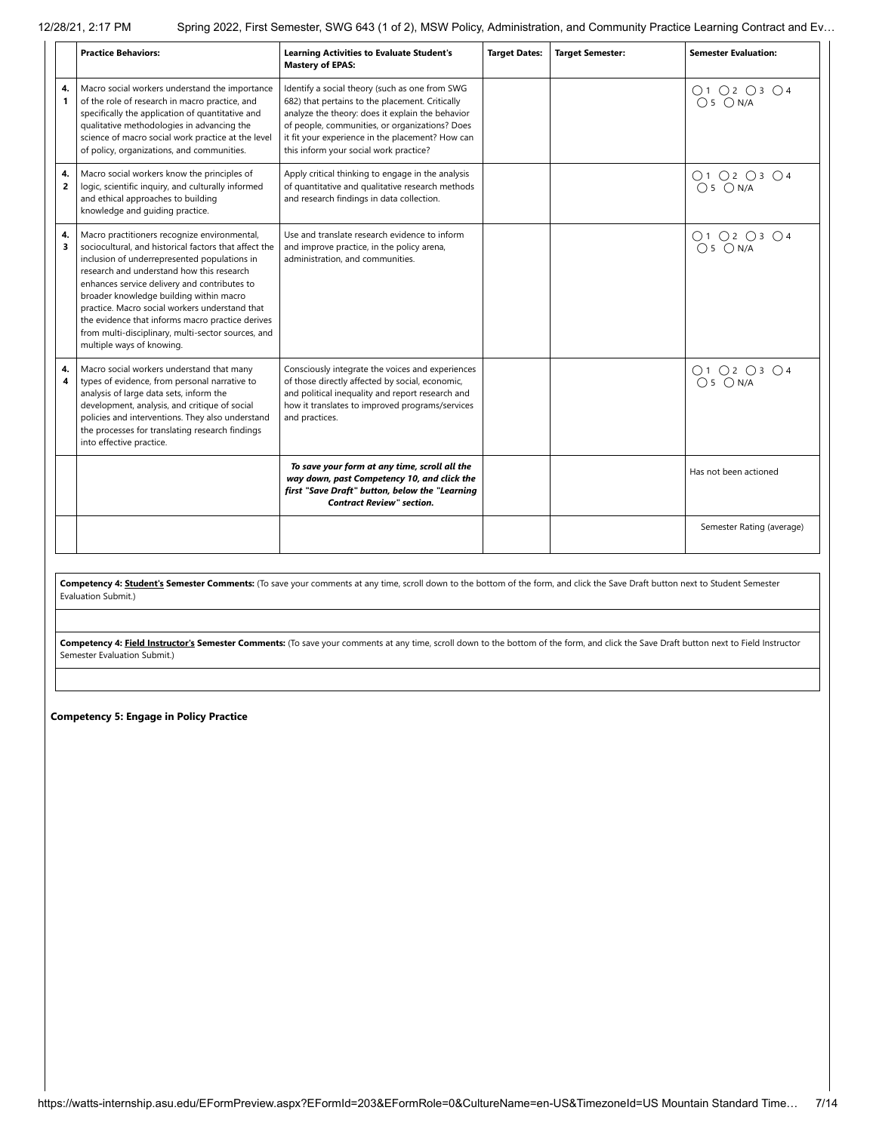|                      | <b>Practice Behaviors:</b>                                                                                                                                                                                                                                                                                                                                                                                                                                                             | <b>Learning Activities to Evaluate Student's</b><br><b>Mastery of EPAS:</b>                                                                                                                                                                                                                           | <b>Target Dates:</b> | <b>Target Semester:</b> | <b>Semester Evaluation:</b> |
|----------------------|----------------------------------------------------------------------------------------------------------------------------------------------------------------------------------------------------------------------------------------------------------------------------------------------------------------------------------------------------------------------------------------------------------------------------------------------------------------------------------------|-------------------------------------------------------------------------------------------------------------------------------------------------------------------------------------------------------------------------------------------------------------------------------------------------------|----------------------|-------------------------|-----------------------------|
| 4.<br>1              | Macro social workers understand the importance<br>of the role of research in macro practice, and<br>specifically the application of quantitative and<br>qualitative methodologies in advancing the<br>science of macro social work practice at the level<br>of policy, organizations, and communities.                                                                                                                                                                                 | Identify a social theory (such as one from SWG<br>682) that pertains to the placement. Critically<br>analyze the theory: does it explain the behavior<br>of people, communities, or organizations? Does<br>it fit your experience in the placement? How can<br>this inform your social work practice? |                      |                         | O1 O2 O3 O4<br>$O5$ $ON/A$  |
| 4.<br>$\overline{2}$ | Macro social workers know the principles of<br>logic, scientific inquiry, and culturally informed<br>and ethical approaches to building<br>knowledge and guiding practice.                                                                                                                                                                                                                                                                                                             | Apply critical thinking to engage in the analysis<br>of quantitative and qualitative research methods<br>and research findings in data collection.                                                                                                                                                    |                      |                         | O1O2O3O4<br>$O5$ $ON/A$     |
| 4.<br>3              | Macro practitioners recognize environmental,<br>sociocultural, and historical factors that affect the<br>inclusion of underrepresented populations in<br>research and understand how this research<br>enhances service delivery and contributes to<br>broader knowledge building within macro<br>practice. Macro social workers understand that<br>the evidence that informs macro practice derives<br>from multi-disciplinary, multi-sector sources, and<br>multiple ways of knowing. | Use and translate research evidence to inform<br>and improve practice, in the policy arena,<br>administration, and communities.                                                                                                                                                                       |                      |                         | O1O2O3O4<br>$O5$ $ON/A$     |
| 4.<br>4              | Macro social workers understand that many<br>types of evidence, from personal narrative to<br>analysis of large data sets, inform the<br>development, analysis, and critique of social<br>policies and interventions. They also understand<br>the processes for translating research findings<br>into effective practice.                                                                                                                                                              | Consciously integrate the voices and experiences<br>of those directly affected by social, economic,<br>and political inequality and report research and<br>how it translates to improved programs/services<br>and practices.                                                                          |                      |                         | O1 O2 O3 O4<br>$O5$ $ON/A$  |
|                      |                                                                                                                                                                                                                                                                                                                                                                                                                                                                                        | To save your form at any time, scroll all the<br>way down, past Competency 10, and click the<br>first "Save Draft" button, below the "Learning<br><b>Contract Review" section.</b>                                                                                                                    |                      |                         | Has not been actioned       |
|                      |                                                                                                                                                                                                                                                                                                                                                                                                                                                                                        |                                                                                                                                                                                                                                                                                                       |                      |                         | Semester Rating (average)   |

Competency 4: **Student's Semester Comments:** (To save your comments at any time, scroll down to the bottom of the form, and click the Save Draft button next to Student Semester Evaluation Submit.)

Competency 4: **Field Instructor's Semester Comments:** (To save your comments at any time, scroll down to the bottom of the form, and click the Save Draft button next to Field Instructor Semester Evaluation Submit.)

**Competency 5: Engage in Policy Practice**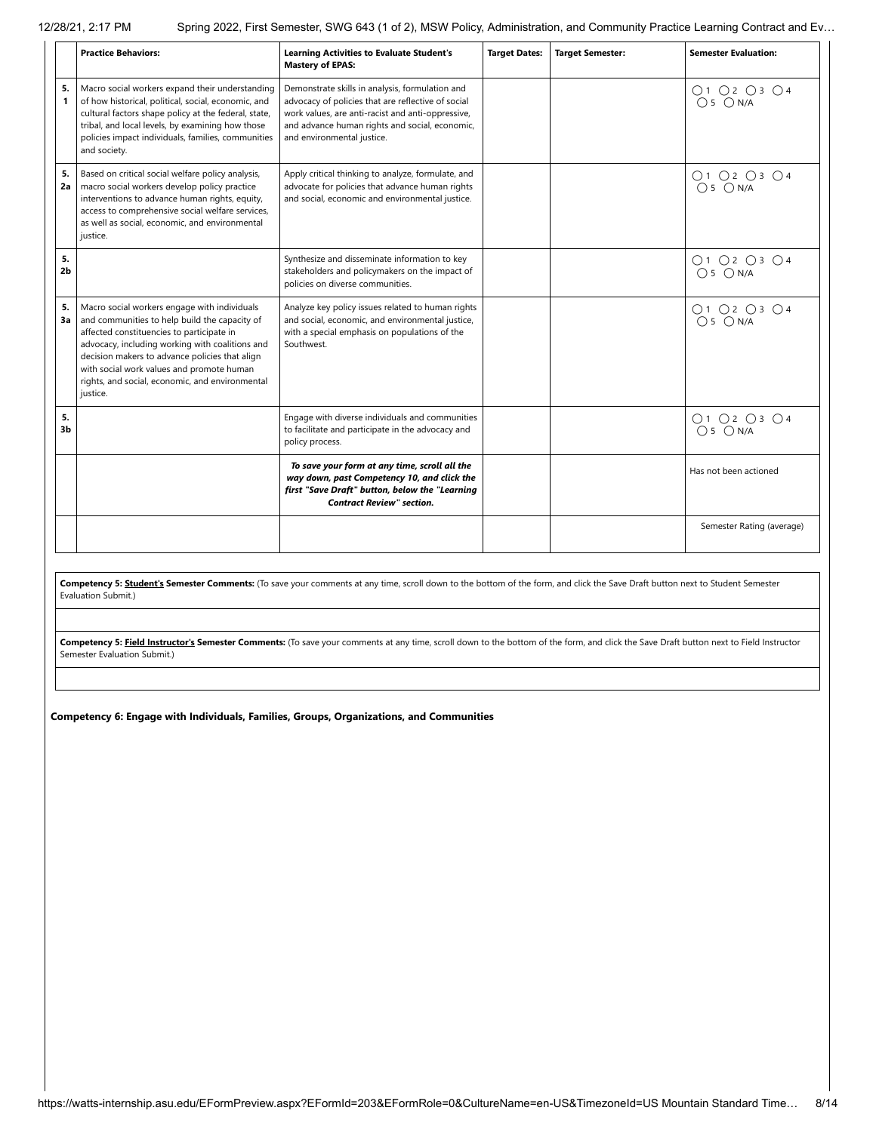|                      | <b>Practice Behaviors:</b>                                                                                                                                                                                                                                                                                                                                  | <b>Learning Activities to Evaluate Student's</b><br><b>Mastery of EPAS:</b>                                                                                                                                                                | <b>Target Dates:</b> | <b>Target Semester:</b> | <b>Semester Evaluation:</b> |
|----------------------|-------------------------------------------------------------------------------------------------------------------------------------------------------------------------------------------------------------------------------------------------------------------------------------------------------------------------------------------------------------|--------------------------------------------------------------------------------------------------------------------------------------------------------------------------------------------------------------------------------------------|----------------------|-------------------------|-----------------------------|
| 5.<br>1              | Macro social workers expand their understanding<br>of how historical, political, social, economic, and<br>cultural factors shape policy at the federal, state,<br>tribal, and local levels, by examining how those<br>policies impact individuals, families, communities<br>and society.                                                                    | Demonstrate skills in analysis, formulation and<br>advocacy of policies that are reflective of social<br>work values, are anti-racist and anti-oppressive,<br>and advance human rights and social, economic,<br>and environmental justice. |                      |                         | O1 O2 O3 O4<br>$O5$ $ON/A$  |
| 5.<br>2a             | Based on critical social welfare policy analysis,<br>macro social workers develop policy practice<br>interventions to advance human rights, equity,<br>access to comprehensive social welfare services,<br>as well as social, economic, and environmental<br>justice.                                                                                       | Apply critical thinking to analyze, formulate, and<br>advocate for policies that advance human rights<br>and social, economic and environmental justice.                                                                                   |                      |                         | 01 02 03 04<br>05 0 N/A     |
| 5.<br>2 <sub>b</sub> |                                                                                                                                                                                                                                                                                                                                                             | Synthesize and disseminate information to key<br>stakeholders and policymakers on the impact of<br>policies on diverse communities.                                                                                                        |                      |                         | O1O2O3O4<br>$O5$ $ON/A$     |
| 5.<br>За             | Macro social workers engage with individuals<br>and communities to help build the capacity of<br>affected constituencies to participate in<br>advocacy, including working with coalitions and<br>decision makers to advance policies that align<br>with social work values and promote human<br>rights, and social, economic, and environmental<br>justice. | Analyze key policy issues related to human rights<br>and social, economic, and environmental justice,<br>with a special emphasis on populations of the<br>Southwest.                                                                       |                      |                         | O1 O2 O3 O4<br>$O5$ $ON/A$  |
| 5.<br>3 <sub>b</sub> |                                                                                                                                                                                                                                                                                                                                                             | Engage with diverse individuals and communities<br>to facilitate and participate in the advocacy and<br>policy process.                                                                                                                    |                      |                         | O1 O2 O3 O4<br>$O5$ $ON/A$  |
|                      |                                                                                                                                                                                                                                                                                                                                                             | To save your form at any time, scroll all the<br>way down, past Competency 10, and click the<br>first "Save Draft" button, below the "Learning<br><b>Contract Review" section.</b>                                                         |                      |                         | Has not been actioned       |
|                      |                                                                                                                                                                                                                                                                                                                                                             |                                                                                                                                                                                                                                            |                      |                         | Semester Rating (average)   |

**Competency 5: Student's Semester Comments:** (To save your comments at any time, scroll down to the bottom of the form, and click the Save Draft button next to Student Semester Evaluation Submit.)

Competency 5: Field Instructor's Semester Comments: (To save your comments at any time, scroll down to the bottom of the form, and click the Save Draft button next to Field Instructor Semester Evaluation Submit.)

**Competency 6: Engage with Individuals, Families, Groups, Organizations, and Communities**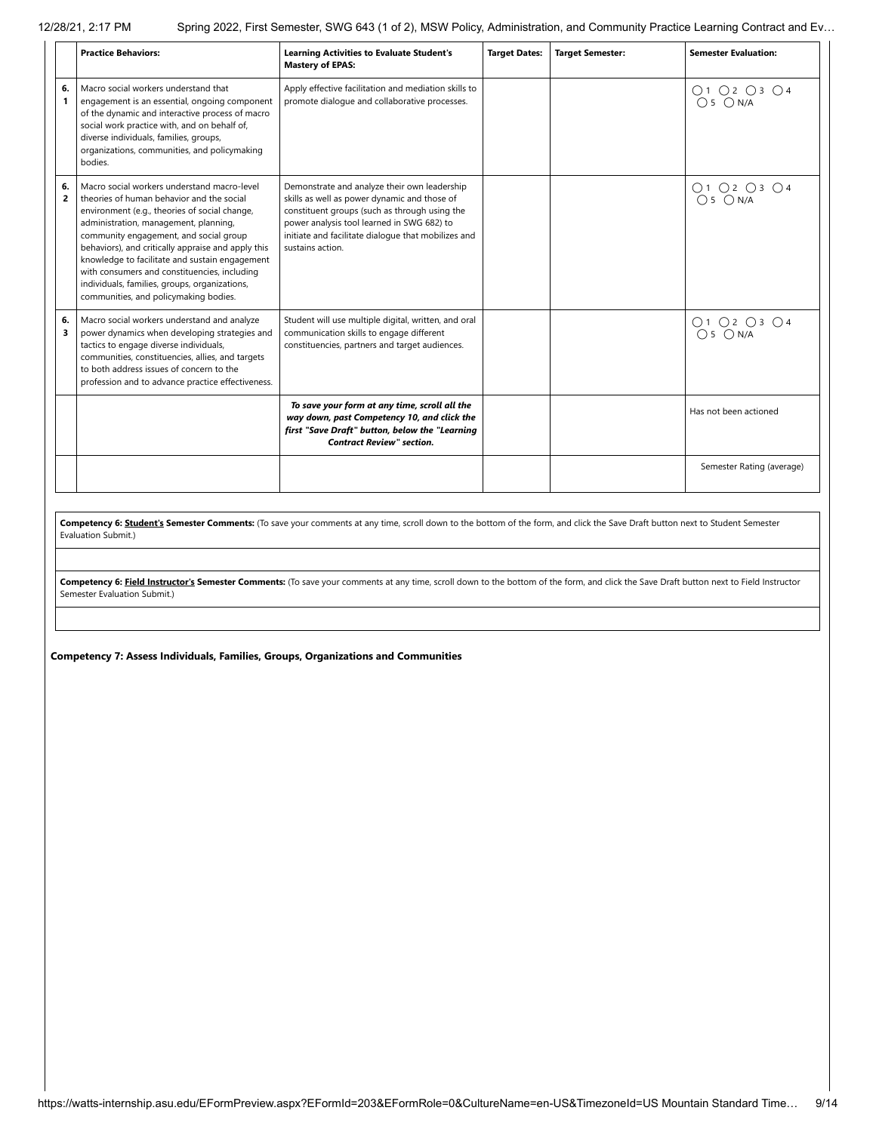|                      | <b>Practice Behaviors:</b>                                                                                                                                                                                                                                                                                                                                                                                                                                                     | <b>Learning Activities to Evaluate Student's</b><br><b>Mastery of EPAS:</b>                                                                                                                                                                                            | <b>Target Dates:</b> | <b>Target Semester:</b> | <b>Semester Evaluation:</b> |
|----------------------|--------------------------------------------------------------------------------------------------------------------------------------------------------------------------------------------------------------------------------------------------------------------------------------------------------------------------------------------------------------------------------------------------------------------------------------------------------------------------------|------------------------------------------------------------------------------------------------------------------------------------------------------------------------------------------------------------------------------------------------------------------------|----------------------|-------------------------|-----------------------------|
| 6.<br>1              | Macro social workers understand that<br>engagement is an essential, ongoing component<br>of the dynamic and interactive process of macro<br>social work practice with, and on behalf of,<br>diverse individuals, families, groups,<br>organizations, communities, and policymaking<br>bodies.                                                                                                                                                                                  | Apply effective facilitation and mediation skills to<br>promote dialogue and collaborative processes.                                                                                                                                                                  |                      |                         | O1 O2 O3 O4<br>$O5$ $ON/A$  |
| 6.<br>$\overline{2}$ | Macro social workers understand macro-level<br>theories of human behavior and the social<br>environment (e.g., theories of social change,<br>administration, management, planning,<br>community engagement, and social group<br>behaviors), and critically appraise and apply this<br>knowledge to facilitate and sustain engagement<br>with consumers and constituencies, including<br>individuals, families, groups, organizations,<br>communities, and policymaking bodies. | Demonstrate and analyze their own leadership<br>skills as well as power dynamic and those of<br>constituent groups (such as through using the<br>power analysis tool learned in SWG 682) to<br>initiate and facilitate dialogue that mobilizes and<br>sustains action. |                      |                         | 01 02 03 04<br>05 0 N/A     |
| 6.<br>3              | Macro social workers understand and analyze<br>power dynamics when developing strategies and<br>tactics to engage diverse individuals,<br>communities, constituencies, allies, and targets<br>to both address issues of concern to the<br>profession and to advance practice effectiveness.                                                                                                                                                                                    | Student will use multiple digital, written, and oral<br>communication skills to engage different<br>constituencies, partners and target audiences.                                                                                                                     |                      |                         | 01 02 03 04<br>05 0 N/A     |
|                      |                                                                                                                                                                                                                                                                                                                                                                                                                                                                                | To save your form at any time, scroll all the<br>way down, past Competency 10, and click the<br>first "Save Draft" button, below the "Learning<br><b>Contract Review" section.</b>                                                                                     |                      |                         | Has not been actioned       |
|                      |                                                                                                                                                                                                                                                                                                                                                                                                                                                                                |                                                                                                                                                                                                                                                                        |                      |                         | Semester Rating (average)   |
|                      |                                                                                                                                                                                                                                                                                                                                                                                                                                                                                | Compatency 6: Student's Semester Comments: (To save your comments at any time scroll down to the bottom of the form and click the Save Draft button next to Student Semester                                                                                           |                      |                         |                             |

Competency 6: Student's Semester Comments: (To save your comments at any time, scroll down to the bottom of the form, and click the Save Draft button next to Student Semester Evaluation Submit.)

**Competency 6: Field Instructor's Semester Comments:** (To save your comments at any time, scroll down to the bottom of the form, and click the Save Draft button next to Field Instructor Semester Evaluation Submit.)

**Competency 7: Assess Individuals, Families, Groups, Organizations and Communities**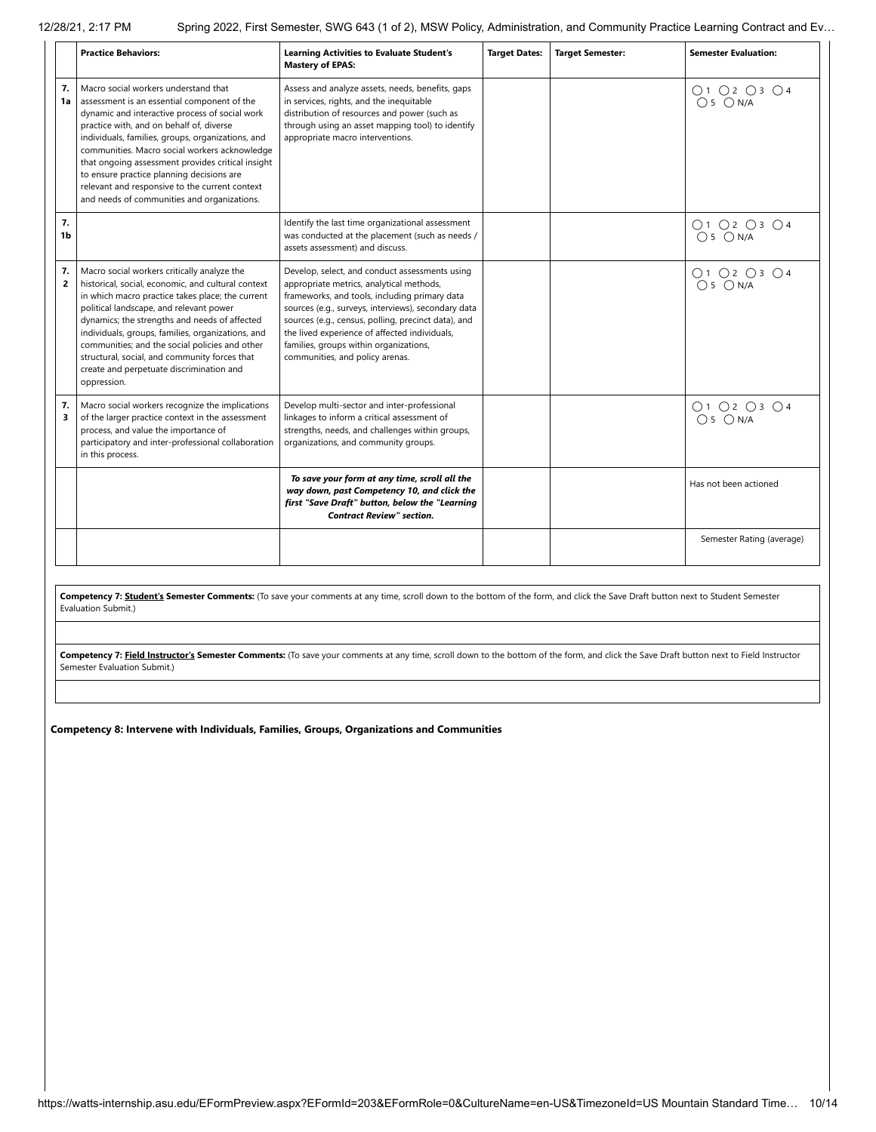|                      | <b>Practice Behaviors:</b>                                                                                                                                                                                                                                                                                                                                                                                                                                                                 | <b>Learning Activities to Evaluate Student's</b><br><b>Mastery of EPAS:</b>                                                                                                                                                                                                                                                                                                             | <b>Target Dates:</b> | <b>Target Semester:</b> | <b>Semester Evaluation:</b> |
|----------------------|--------------------------------------------------------------------------------------------------------------------------------------------------------------------------------------------------------------------------------------------------------------------------------------------------------------------------------------------------------------------------------------------------------------------------------------------------------------------------------------------|-----------------------------------------------------------------------------------------------------------------------------------------------------------------------------------------------------------------------------------------------------------------------------------------------------------------------------------------------------------------------------------------|----------------------|-------------------------|-----------------------------|
| 7.<br>1a             | Macro social workers understand that<br>assessment is an essential component of the<br>dynamic and interactive process of social work<br>practice with, and on behalf of, diverse<br>individuals, families, groups, organizations, and<br>communities. Macro social workers acknowledge<br>that ongoing assessment provides critical insight<br>to ensure practice planning decisions are<br>relevant and responsive to the current context<br>and needs of communities and organizations. | Assess and analyze assets, needs, benefits, gaps<br>in services, rights, and the inequitable<br>distribution of resources and power (such as<br>through using an asset mapping tool) to identify<br>appropriate macro interventions.                                                                                                                                                    |                      |                         | O1 O2 O3 O4<br>$O5$ $ON/A$  |
| 7.<br>1b             |                                                                                                                                                                                                                                                                                                                                                                                                                                                                                            | Identify the last time organizational assessment<br>was conducted at the placement (such as needs /<br>assets assessment) and discuss.                                                                                                                                                                                                                                                  |                      |                         | O1O2O3O4<br>$O5$ $ON/A$     |
| 7.<br>$\overline{2}$ | Macro social workers critically analyze the<br>historical, social, economic, and cultural context<br>in which macro practice takes place; the current<br>political landscape, and relevant power<br>dynamics; the strengths and needs of affected<br>individuals, groups, families, organizations, and<br>communities; and the social policies and other<br>structural, social, and community forces that<br>create and perpetuate discrimination and<br>oppression.                       | Develop, select, and conduct assessments using<br>appropriate metrics, analytical methods,<br>frameworks, and tools, including primary data<br>sources (e.g., surveys, interviews), secondary data<br>sources (e.g., census, polling, precinct data), and<br>the lived experience of affected individuals,<br>families, groups within organizations,<br>communities, and policy arenas. |                      |                         | ○1 ○2 ○3 ○4<br>$O5$ $ON/A$  |
| 7.<br>3              | Macro social workers recognize the implications<br>of the larger practice context in the assessment<br>process, and value the importance of<br>participatory and inter-professional collaboration<br>in this process.                                                                                                                                                                                                                                                                      | Develop multi-sector and inter-professional<br>linkages to inform a critical assessment of<br>strengths, needs, and challenges within groups,<br>organizations, and community groups.                                                                                                                                                                                                   |                      |                         | O1 O2 O3 O4<br>$O5$ $ON/A$  |
|                      |                                                                                                                                                                                                                                                                                                                                                                                                                                                                                            | To save your form at any time, scroll all the<br>way down, past Competency 10, and click the<br>first "Save Draft" button, below the "Learning<br><b>Contract Review" section.</b>                                                                                                                                                                                                      |                      |                         | Has not been actioned       |
|                      |                                                                                                                                                                                                                                                                                                                                                                                                                                                                                            |                                                                                                                                                                                                                                                                                                                                                                                         |                      |                         | Semester Rating (average)   |

**Competency 7: Student's Semester Comments:** (To save your comments at any time, scroll down to the bottom of the form, and click the Save Draft button next to Student Semester Evaluation Submit.)

Competency 7: Field Instructor's Semester Comments: (To save your comments at any time, scroll down to the bottom of the form, and click the Save Draft button next to Field Instructor Semester Evaluation Submit.)

**Competency 8: Intervene with Individuals, Families, Groups, Organizations and Communities**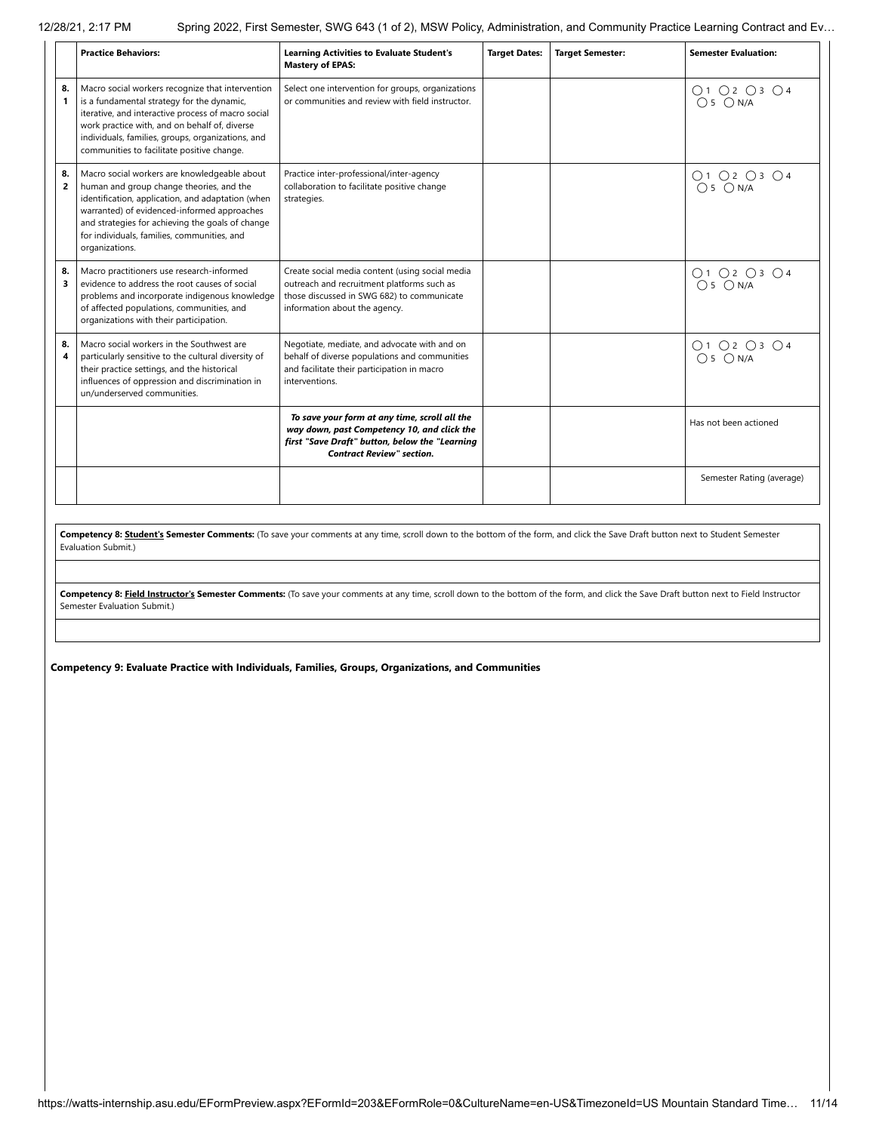|                      | <b>Practice Behaviors:</b>                                                                                                                                                                                                                                                                                        | <b>Learning Activities to Evaluate Student's</b><br><b>Mastery of EPAS:</b>                                                                                                        | <b>Target Dates:</b> | <b>Target Semester:</b> | <b>Semester Evaluation:</b> |
|----------------------|-------------------------------------------------------------------------------------------------------------------------------------------------------------------------------------------------------------------------------------------------------------------------------------------------------------------|------------------------------------------------------------------------------------------------------------------------------------------------------------------------------------|----------------------|-------------------------|-----------------------------|
| 8.<br>1              | Macro social workers recognize that intervention<br>is a fundamental strategy for the dynamic,<br>iterative, and interactive process of macro social<br>work practice with, and on behalf of, diverse<br>individuals, families, groups, organizations, and<br>communities to facilitate positive change.          | Select one intervention for groups, organizations<br>or communities and review with field instructor.                                                                              |                      |                         | 01 02 03 04<br>05 0 N/A     |
| 8.<br>$\overline{2}$ | Macro social workers are knowledgeable about<br>human and group change theories, and the<br>identification, application, and adaptation (when<br>warranted) of evidenced-informed approaches<br>and strategies for achieving the goals of change<br>for individuals, families, communities, and<br>organizations. | Practice inter-professional/inter-agency<br>collaboration to facilitate positive change<br>strategies.                                                                             |                      |                         | 01 02 03 04<br>05 0 N/A     |
| 8.<br>3              | Macro practitioners use research-informed<br>evidence to address the root causes of social<br>problems and incorporate indigenous knowledge<br>of affected populations, communities, and<br>organizations with their participation.                                                                               | Create social media content (using social media<br>outreach and recruitment platforms such as<br>those discussed in SWG 682) to communicate<br>information about the agency.       |                      |                         | O1 O2 O3 O4<br>$O5$ $ON/A$  |
| 8.<br>4              | Macro social workers in the Southwest are<br>particularly sensitive to the cultural diversity of<br>their practice settings, and the historical<br>influences of oppression and discrimination in<br>un/underserved communities.                                                                                  | Negotiate, mediate, and advocate with and on<br>behalf of diverse populations and communities<br>and facilitate their participation in macro<br>interventions.                     |                      |                         | 01 02 03 04<br>05 0 N/A     |
|                      |                                                                                                                                                                                                                                                                                                                   | To save your form at any time, scroll all the<br>way down, past Competency 10, and click the<br>first "Save Draft" button, below the "Learning<br><b>Contract Review" section.</b> |                      |                         | Has not been actioned       |
|                      |                                                                                                                                                                                                                                                                                                                   |                                                                                                                                                                                    |                      |                         | Semester Rating (average)   |

**Competency 8: Student's Semester Comments:** (To save your comments at any time, scroll down to the bottom of the form, and click the Save Draft button next to Student Semester Evaluation Submit.)

Competency 8: **Field Instructor's Semester Comments:** (To save your comments at any time, scroll down to the bottom of the form, and click the Save Draft button next to Field Instructor Semester Evaluation Submit.)

**Competency 9: Evaluate Practice with Individuals, Families, Groups, Organizations, and Communities**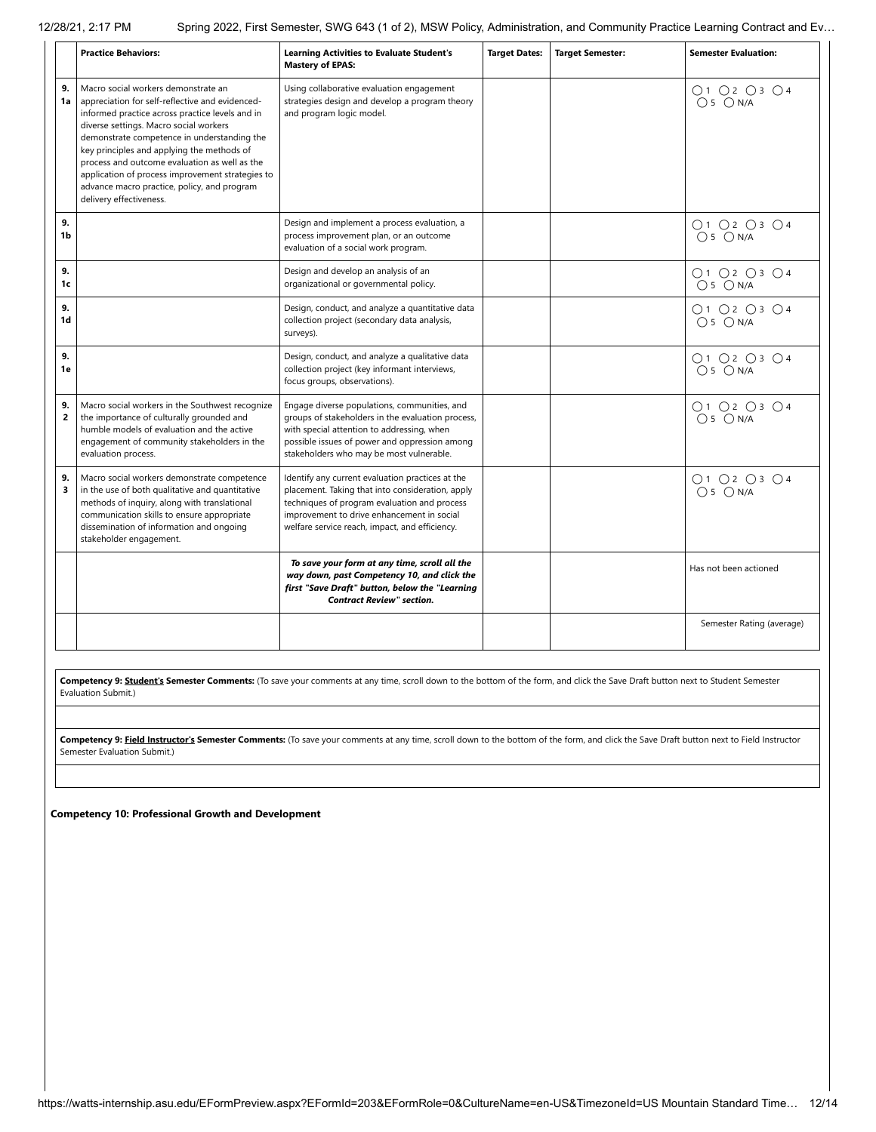|                      | <b>Practice Behaviors:</b>                                                                                                                                                                                                                                                                                                                                                                                                                                      | <b>Learning Activities to Evaluate Student's</b><br><b>Mastery of EPAS:</b>                                                                                                                                                                          | <b>Target Dates:</b> | <b>Target Semester:</b> | <b>Semester Evaluation:</b> |
|----------------------|-----------------------------------------------------------------------------------------------------------------------------------------------------------------------------------------------------------------------------------------------------------------------------------------------------------------------------------------------------------------------------------------------------------------------------------------------------------------|------------------------------------------------------------------------------------------------------------------------------------------------------------------------------------------------------------------------------------------------------|----------------------|-------------------------|-----------------------------|
| 9.<br>1a             | Macro social workers demonstrate an<br>appreciation for self-reflective and evidenced-<br>informed practice across practice levels and in<br>diverse settings. Macro social workers<br>demonstrate competence in understanding the<br>key principles and applying the methods of<br>process and outcome evaluation as well as the<br>application of process improvement strategies to<br>advance macro practice, policy, and program<br>delivery effectiveness. | Using collaborative evaluation engagement<br>strategies design and develop a program theory<br>and program logic model.                                                                                                                              |                      |                         | O1 O2 O3 O4<br>$O5$ $ON/A$  |
| 9.<br>1b             |                                                                                                                                                                                                                                                                                                                                                                                                                                                                 | Design and implement a process evaluation, a<br>process improvement plan, or an outcome<br>evaluation of a social work program.                                                                                                                      |                      |                         | O1 O2 O3 O4<br>$O5$ $ON/A$  |
| 9.<br>1c             |                                                                                                                                                                                                                                                                                                                                                                                                                                                                 | Design and develop an analysis of an<br>organizational or governmental policy.                                                                                                                                                                       |                      |                         | O1O2O3O4<br>$O5$ $ON/A$     |
| 9.<br>1d             |                                                                                                                                                                                                                                                                                                                                                                                                                                                                 | Design, conduct, and analyze a quantitative data<br>collection project (secondary data analysis,<br>surveys).                                                                                                                                        |                      |                         | O1 O2 O3 O4<br>$O5$ $ON/A$  |
| 9.<br>1e             |                                                                                                                                                                                                                                                                                                                                                                                                                                                                 | Design, conduct, and analyze a qualitative data<br>collection project (key informant interviews,<br>focus groups, observations).                                                                                                                     |                      |                         | O1 O2 O3 O4<br>$O5$ $ON/A$  |
| 9.<br>$\overline{2}$ | Macro social workers in the Southwest recognize<br>the importance of culturally grounded and<br>humble models of evaluation and the active<br>engagement of community stakeholders in the<br>evaluation process.                                                                                                                                                                                                                                                | Engage diverse populations, communities, and<br>groups of stakeholders in the evaluation process,<br>with special attention to addressing, when<br>possible issues of power and oppression among<br>stakeholders who may be most vulnerable.         |                      |                         | O1 O2 O3 O4<br>$O5$ $ON/A$  |
| 9.<br>3              | Macro social workers demonstrate competence<br>in the use of both qualitative and quantitative<br>methods of inquiry, along with translational<br>communication skills to ensure appropriate<br>dissemination of information and ongoing<br>stakeholder engagement.                                                                                                                                                                                             | Identify any current evaluation practices at the<br>placement. Taking that into consideration, apply<br>techniques of program evaluation and process<br>improvement to drive enhancement in social<br>welfare service reach, impact, and efficiency. |                      |                         | O1 O2 O3 O4<br>$O5$ $ON/A$  |
|                      |                                                                                                                                                                                                                                                                                                                                                                                                                                                                 | To save your form at any time, scroll all the<br>way down, past Competency 10, and click the<br>first "Save Draft" button, below the "Learning<br><b>Contract Review" section.</b>                                                                   |                      |                         | Has not been actioned       |
|                      |                                                                                                                                                                                                                                                                                                                                                                                                                                                                 |                                                                                                                                                                                                                                                      |                      |                         | Semester Rating (average)   |

**Competency 9: Student's Semester Comments:** (To save your comments at any time, scroll down to the bottom of the form, and click the Save Draft button next to Student Semester Evaluation Submit.)

Competency 9: Field Instructor's Semester Comments: (To save your comments at any time, scroll down to the bottom of the form, and click the Save Draft button next to Field Instructor Semester Evaluation Submit.)

**Competency 10: Professional Growth and Development**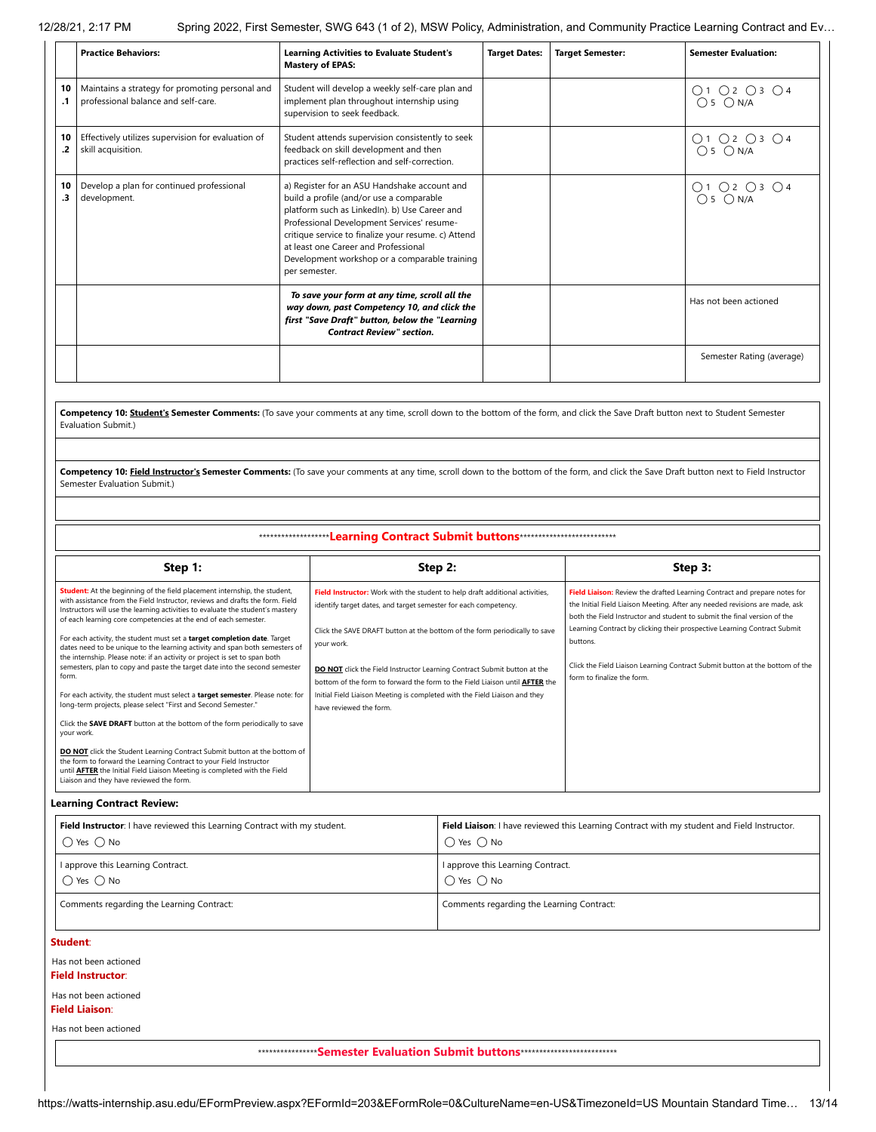|                                                                                                                                                                                                                          | <b>Practice Behaviors:</b>                                                             | <b>Learning Activities to Evaluate Student's</b><br><b>Mastery of EPAS:</b>                                                                                                                                                                                                                                                                              | <b>Target Dates:</b> | <b>Target Semester:</b> | <b>Semester Evaluation:</b> |
|--------------------------------------------------------------------------------------------------------------------------------------------------------------------------------------------------------------------------|----------------------------------------------------------------------------------------|----------------------------------------------------------------------------------------------------------------------------------------------------------------------------------------------------------------------------------------------------------------------------------------------------------------------------------------------------------|----------------------|-------------------------|-----------------------------|
| 10<br>$\cdot$ 1                                                                                                                                                                                                          | Maintains a strategy for promoting personal and<br>professional balance and self-care. | Student will develop a weekly self-care plan and<br>implement plan throughout internship using<br>supervision to seek feedback.                                                                                                                                                                                                                          |                      |                         | ○1 ○2 ○3 ○4<br>$O5$ $ON/A$  |
| 10<br>.2                                                                                                                                                                                                                 | Effectively utilizes supervision for evaluation of<br>skill acquisition.               | Student attends supervision consistently to seek<br>feedback on skill development and then<br>practices self-reflection and self-correction.                                                                                                                                                                                                             |                      |                         | O1O2O3O4<br>$O5$ $ON/A$     |
| 10<br>.3                                                                                                                                                                                                                 | Develop a plan for continued professional<br>development.                              | a) Register for an ASU Handshake account and<br>build a profile (and/or use a comparable<br>platform such as LinkedIn). b) Use Career and<br>Professional Development Services' resume-<br>critique service to finalize your resume. c) Attend<br>at least one Career and Professional<br>Development workshop or a comparable training<br>per semester. |                      |                         | 01020304<br>$O5$ $ON/A$     |
|                                                                                                                                                                                                                          |                                                                                        | To save your form at any time, scroll all the<br>way down, past Competency 10, and click the<br>first "Save Draft" button, below the "Learning<br><b>Contract Review" section.</b>                                                                                                                                                                       |                      |                         | Has not been actioned       |
|                                                                                                                                                                                                                          |                                                                                        |                                                                                                                                                                                                                                                                                                                                                          |                      |                         | Semester Rating (average)   |
|                                                                                                                                                                                                                          |                                                                                        |                                                                                                                                                                                                                                                                                                                                                          |                      |                         |                             |
| Competency 10: Student's Semester Comments: (To save your comments at any time, scroll down to the bottom of the form, and click the Save Draft button next to Student Semester<br>Evaluation Submit.)                   |                                                                                        |                                                                                                                                                                                                                                                                                                                                                          |                      |                         |                             |
|                                                                                                                                                                                                                          |                                                                                        |                                                                                                                                                                                                                                                                                                                                                          |                      |                         |                             |
| Competency 10: Field Instructor's Semester Comments: (To save your comments at any time, scroll down to the bottom of the form, and click the Save Draft button next to Field Instructor<br>Semester Evaluation Submit.) |                                                                                        |                                                                                                                                                                                                                                                                                                                                                          |                      |                         |                             |

\*\*\*\*\*\*\*\*\*\*\*\*\*\*\*\*\*\*\***Learning Contract Submit buttons**\*\*\*\*\*\*\*\*\*\*\*\*\*\*\*\*\*\*\*\*\*\*\*\*\*\*

| Step 1:                                                                                                                                                                                                                                                                                                                                                                                                                                                                                                                                                                                                                                                                                                                                                                                                                                                                                                                                                                                                                                                                                                                                                                            | Step 2:                                                                                                                                                                                                                                                                                                                                                                                                                                                                                                                       | Step 3:                                                                                                                                                                                                                                                                                                                                                                                                                                    |
|------------------------------------------------------------------------------------------------------------------------------------------------------------------------------------------------------------------------------------------------------------------------------------------------------------------------------------------------------------------------------------------------------------------------------------------------------------------------------------------------------------------------------------------------------------------------------------------------------------------------------------------------------------------------------------------------------------------------------------------------------------------------------------------------------------------------------------------------------------------------------------------------------------------------------------------------------------------------------------------------------------------------------------------------------------------------------------------------------------------------------------------------------------------------------------|-------------------------------------------------------------------------------------------------------------------------------------------------------------------------------------------------------------------------------------------------------------------------------------------------------------------------------------------------------------------------------------------------------------------------------------------------------------------------------------------------------------------------------|--------------------------------------------------------------------------------------------------------------------------------------------------------------------------------------------------------------------------------------------------------------------------------------------------------------------------------------------------------------------------------------------------------------------------------------------|
| Student: At the beginning of the field placement internship, the student,<br>with assistance from the Field Instructor, reviews and drafts the form. Field<br>Instructors will use the learning activities to evaluate the student's mastery<br>of each learning core competencies at the end of each semester.<br>For each activity, the student must set a target completion date. Target<br>dates need to be unique to the learning activity and span both semesters of<br>the internship. Please note: if an activity or project is set to span both<br>semesters, plan to copy and paste the target date into the second semester<br>form.<br>For each activity, the student must select a target semester. Please note: for<br>long-term projects, please select "First and Second Semester."<br>Click the SAVE DRAFT button at the bottom of the form periodically to save<br>your work.<br>DO NOT click the Student Learning Contract Submit button at the bottom of<br>the form to forward the Learning Contract to your Field Instructor<br>until <b>AFTER</b> the Initial Field Liaison Meeting is completed with the Field<br>Liaison and they have reviewed the form. | Field Instructor: Work with the student to help draft additional activities,<br>identify target dates, and target semester for each competency.<br>Click the SAVE DRAFT button at the bottom of the form periodically to save<br>your work.<br><b>DO NOT</b> click the Field Instructor Learning Contract Submit button at the<br>bottom of the form to forward the form to the Field Liaison until <b>AFTER</b> the<br>Initial Field Liaison Meeting is completed with the Field Liaison and they<br>have reviewed the form. | Field Liaison: Review the drafted Learning Contract and prepare notes for<br>the Initial Field Liaison Meeting. After any needed revisions are made, ask<br>both the Field Instructor and student to submit the final version of the<br>Learning Contract by clicking their prospective Learning Contract Submit<br>buttons.<br>Click the Field Liaison Learning Contract Submit button at the bottom of the<br>form to finalize the form. |

**Learning Contract Review:**

| Field Instructor: I have reviewed this Learning Contract with my student. | Field Liaison: I have reviewed this Learning Contract with my student and Field Instructor. |
|---------------------------------------------------------------------------|---------------------------------------------------------------------------------------------|
| $\bigcirc$ Yes $\bigcirc$ No                                              | $\bigcap$ Yes $\bigcap$ No                                                                  |
| I approve this Learning Contract.                                         | I approve this Learning Contract.                                                           |
| $\bigcap$ Yes $\bigcap$ No                                                | $\bigcap$ Yes $\bigcap$ No                                                                  |
| Comments regarding the Learning Contract:                                 | Comments regarding the Learning Contract:                                                   |

#### **Student**:

Has not been actioned **Field Instructor**:

# Has not been actioned

**Field Liaison**:

Has not been actioned

\*\*\*\*\*\*\*\*\*\*\*\*\*\*\*\***Semester Evaluation Submit buttons**\*\*\*\*\*\*\*\*\*\*\*\*\*\*\*\*\*\*\*\*\*\*\*\*\*\*

https://watts-internship.asu.edu/EFormPreview.aspx?EFormId=203&EFormRole=0&CultureName=en-US&TimezoneId=US Mountain Standard Time… 13/14